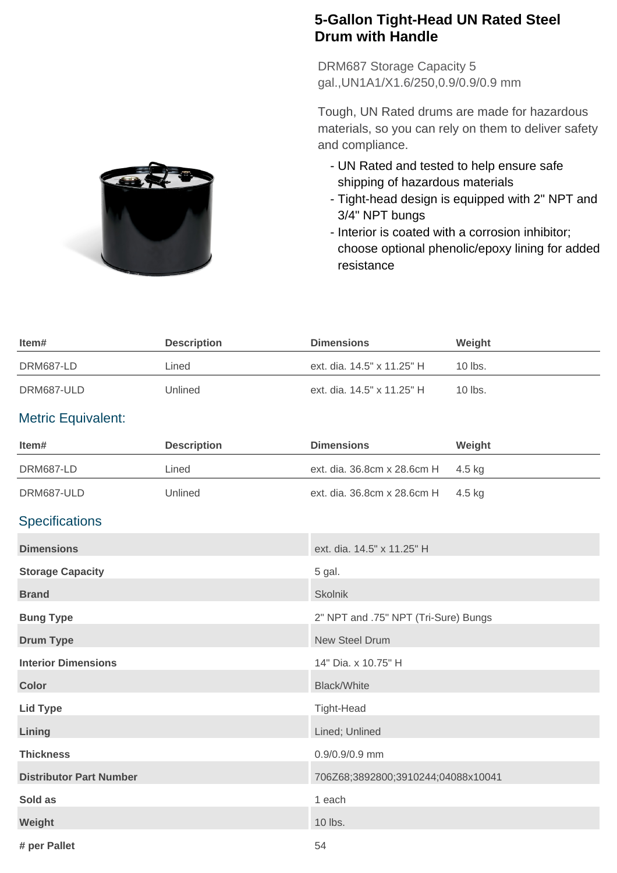## **5-Gallon Tight-Head UN Rated Steel Drum with Handle**

DRM687 Storage Capacity 5 gal.,UN1A1/X1.6/250,0.9/0.9/0.9 mm

Tough, UN Rated drums are made for hazardous materials, so you can rely on them to deliver safety and compliance.

- UN Rated and tested to help ensure safe shipping of hazardous materials
- Tight-head design is equipped with 2" NPT and 3/4" NPT bungs
- Interior is coated with a corrosion inhibitor; choose optional phenolic/epoxy lining for added resistance



## Metric Equivalent:

| Item#                          | <b>Description</b> | <b>Dimensions</b>                    | Weight |
|--------------------------------|--------------------|--------------------------------------|--------|
| <b>DRM687-LD</b>               | Lined              | ext. dia. 36.8cm x 28.6cm H          | 4.5 kg |
| DRM687-ULD                     | Unlined            | ext. dia. 36.8cm x 28.6cm H          | 4.5 kg |
| <b>Specifications</b>          |                    |                                      |        |
| <b>Dimensions</b>              |                    | ext. dia. 14.5" x 11.25" H           |        |
| <b>Storage Capacity</b>        |                    | 5 gal.                               |        |
| <b>Brand</b>                   |                    | <b>Skolnik</b>                       |        |
| <b>Bung Type</b>               |                    | 2" NPT and .75" NPT (Tri-Sure) Bungs |        |
| <b>Drum Type</b>               |                    | <b>New Steel Drum</b>                |        |
| <b>Interior Dimensions</b>     |                    | 14" Dia. x 10.75" H                  |        |
| <b>Color</b>                   |                    | <b>Black/White</b>                   |        |
| <b>Lid Type</b>                |                    | <b>Tight-Head</b>                    |        |
| Lining                         |                    | Lined; Unlined                       |        |
| <b>Thickness</b>               |                    | 0.9/0.9/0.9 mm                       |        |
| <b>Distributor Part Number</b> |                    | 706Z68;3892800;3910244;04088x10041   |        |
| Sold as                        |                    | 1 each                               |        |
| Weight                         |                    | 10 lbs.                              |        |
| # per Pallet                   |                    | 54                                   |        |